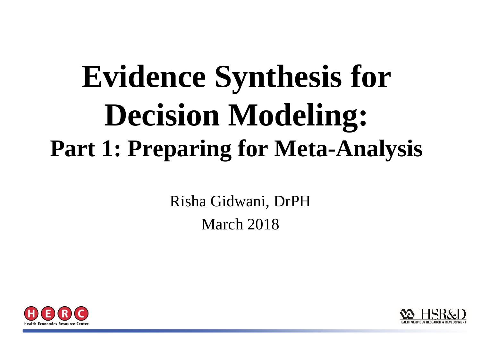# **Evidence Synthesis for Decision Modeling: Part 1: Preparing for Meta-Analysis**

Risha Gidwani, DrPH March 2018



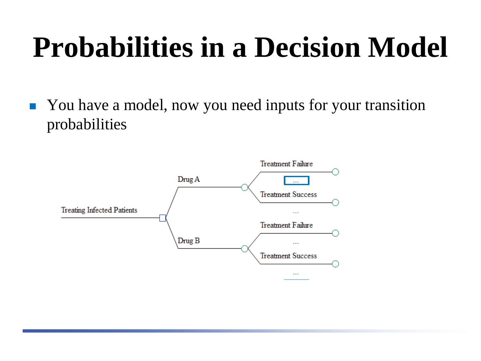## **Probabilities in a Decision Model**

• You have a model, now you need inputs for your transition probabilities

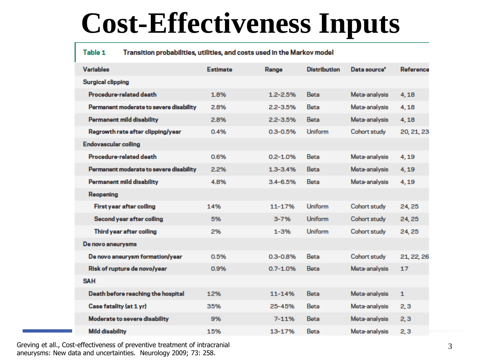#### **Cost-Effectiveness Inputs**

#### Table 1 Transition probabilities, utilities, and costs used in the Markov model

| <b>Variables</b>                        | <b>Estimate</b> | Range        | <b>Distribution</b> | Data source <sup>*</sup> | Reference    |
|-----------------------------------------|-----------------|--------------|---------------------|--------------------------|--------------|
| <b>Surgical clipping</b>                |                 |              |                     |                          |              |
| Procedure-related death                 | 1.8%            | $1.2 - 2.5%$ | Beta                | Meta-analysis            | 4.18         |
| Permanent moderate to severe disability | 2.8%            | $2.2 - 3.5%$ | Beta                | Meta-analysis            | 4,18         |
| <b>Permanent mild disability</b>        | 2.8%            | $2.2 - 3.5%$ | Beta                | Meta-analysis            | 4,18         |
| Regrowth rate after clipping/year       | 0.4%            | $0.3 - 0.5%$ | Uniform             | Cohort study             | 20, 21, 23   |
| <b>Endovascular coiling</b>             |                 |              |                     |                          |              |
| Procedure-related death                 | 0.6%            | $0.2 - 1.0%$ | Beta                | Meta-analysis            | 4.19         |
| Permanent moderate to severe disability | 2.2%            | $1.3 - 3.4%$ | Beta                | Meta-analysis            | 4.19         |
| <b>Permanent mild disability</b>        | 4.8%            | $3.4 - 6.5%$ | Beta                | Meta-analysis            | 4.19         |
| Reopening                               |                 |              |                     |                          |              |
| First year after coiling                | 14%             | 11-17%       | Uniform             | Cohort study             | 24, 25       |
| Second year after coiling               | 5%              | $3 - 7%$     | <b>Uniform</b>      | Cohort study             | 24, 25       |
| Third year after coiling                | 2%              | $1 - 3%$     | <b>Uniform</b>      | Cohort study             | 24, 25       |
| De novo aneurysms                       |                 |              |                     |                          |              |
| De novo aneurysm formation/year         | 0.5%            | $0.3 - 0.8%$ | Beta                | Cohort study             | 21, 22, 26   |
| Risk of rupture de novo/year            | 0.9%            | $0.7 - 1.0%$ | Beta                | Meta-analysis            | 17           |
| <b>SAH</b>                              |                 |              |                     |                          |              |
| Death before reaching the hospital      | 12%             | $11 - 14%$   | <b>Beta</b>         | Meta-analysis            | $\mathbf{1}$ |
| Case fatality (at 1 yr)                 | 35%             | 25-45%       | Beta                | Meta-analysis            | 2,3          |
| <b>Moderate to severe disability</b>    | 9%              | $7 - 11%$    | Beta                | Meta-analysis            | 2,3          |
| <b>Mild disability</b>                  | 15%             | 13-17%       | Beta                | Meta-analysis            | 2,3          |

Greving et all., Cost-effectiveness of preventive treatment of intracranial 3 3 aneurysms: New data and uncertainties. Neurology 2009; 73: 258.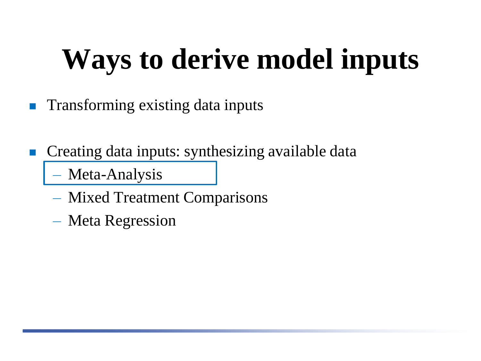# **Ways to derive model inputs**

- Transforming existing data inputs
- Creating data inputs: synthesizing available data
	- Meta-Analysis
	- Mixed Treatment Comparisons
	- Meta Regression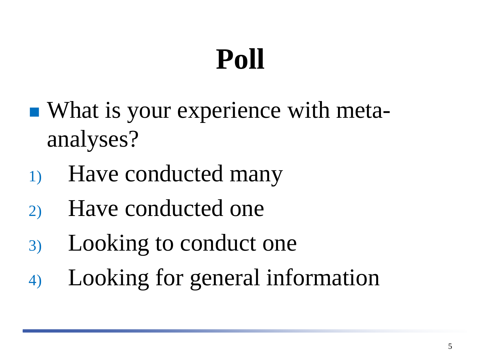# **Poll**

- What is your experience with metaanalyses?
- 1) Have conducted many
- 2) Have conducted one
- 3) Looking to conduct one
- 4) Looking for general information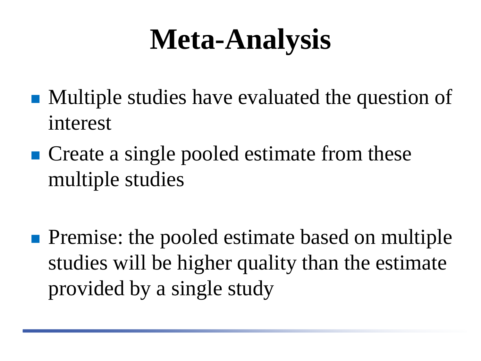#### **Meta-Analysis**

- Multiple studies have evaluated the question of interest
- Create a single pooled estimate from these multiple studies
- **Premise:** the pooled estimate based on multiple studies will be higher quality than the estimate provided by a single study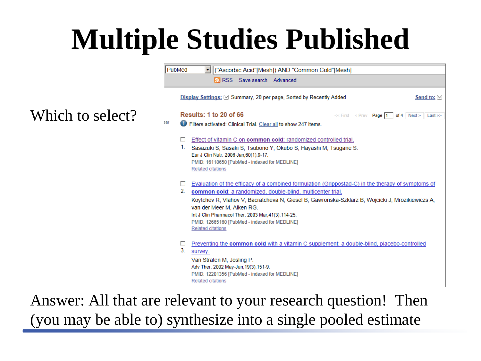## **Multiple Studies Published**

#### Which to select?



Answer: All that are relevant to your research question! Then (you may be able to) synthesize into a single pooled estimate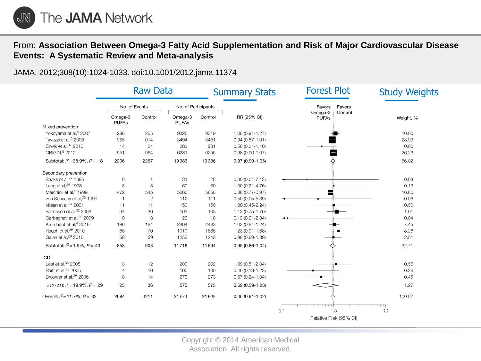

#### From: **Association Between Omega-3 Fatty Acid Supplementation and Risk of Major Cardiovascular Disease Events: A Systematic Review and Meta-analysis**

JAMA. 2012;308(10):1024-1033. doi:10.1001/2012.jama.11374

|                                       | <b>Raw Data</b>         |              |                         | <b>Summary Stats</b> |                     | <b>Forest Plot</b>                 | <b>Study Weights</b> |
|---------------------------------------|-------------------------|--------------|-------------------------|----------------------|---------------------|------------------------------------|----------------------|
|                                       | No. of Events           |              | No. of Participants     |                      |                     | Favors<br>Favors                   |                      |
|                                       | Omega-3<br><b>PUFAs</b> | Control      | Omega-3<br><b>PUFAs</b> | Control              | RR (95% CI)         | Omega-3<br>Control<br><b>PUFAs</b> | Weight, %            |
| Mixed prevention                      |                         |              |                         |                      |                     |                                    |                      |
| Yokoyama et al, 3 2007                | 286                     | 265          | 9326                    | 9319                 | $1.08(0.91 - 1.27)$ |                                    | 10.00                |
| Tavazzi et al. <sup>2</sup> 2008      | 955                     | 1014         | 3494                    | 3481                 | $0.94(0.87 - 1.01)$ |                                    | 28.99                |
| Einvik et al, 37 2010                 | 14                      | 24           | 282                     | 281                  | $0.58(0.31 - 1.10)$ |                                    | 0.80                 |
| ORIGIN, 5 2012                        | 951                     | 964          | 6281                    | 6255                 | $0.98(0.90 - 1.07)$ |                                    | 26.23                |
| Subtotal: $I^2 = 38.9\%$ , $P = .18$  | 2206                    | 2267         | 19383                   | 19336                | $0.97(0.90 - 1.05)$ |                                    | 66.02                |
| Secondary prevention                  |                         |              |                         |                      |                     |                                    |                      |
| Sacks et al. <sup>27</sup> 1995       | 0                       |              | 31                      | 28                   | $0.30(0.01 - 7.13)$ |                                    | 0.03                 |
| Leng et al, <sup>26</sup> 1998        | 3                       | 3            | 60                      | 60                   | $1.00(0.21 - 4.76)$ |                                    | 0.13                 |
| Marchioli et al, <sup>1</sup> 1999    | 472                     | 545          | 5666                    | 5658                 | $0.86(0.77 - 0.97)$ |                                    | 16.80                |
| von Schacky et al. <sup>25</sup> 1999 | $\overline{1}$          | $\mathbf{2}$ | 112                     | 111                  | $0.50(0.05 - 5.39)$ |                                    | 0.06                 |
| Nilsen et al, <sup>24</sup> 2001      | 11                      | 11           | 150                     | 150                  | $1.00(0.45 - 2.24)$ |                                    | 0.50                 |
| Svensson et al, 32 2006               | 34                      | 30           | 103                     | 103                  | 1.13 (0.75-1.70)    |                                    | 1.91                 |
| Garbagnati et al, 38 2009             | $\mathbf 0$             | 3            | 20                      | 18                   | $0.13(0.01 - 2.34)$ |                                    | 0.04                 |
| Kromhout et al, <sup>4</sup> 2010     | 186                     | 184          | 2404                    | 2433                 | 1.02 (0.84-1.24)    |                                    | 7.45                 |
| Rauch et al, 36 2010                  | 88                      | 70           | 1919                    | 1885                 | 1.23 (0.91-1.68)    |                                    | 3.28                 |
| Galan et al, <sup>29</sup> 2010       | 58                      | 59           | 1253                    | 1248                 | $0.98(0.69 - 1.39)$ |                                    | 2.51                 |
| Subtotal: $l^2 = 1.5\%$ , $P = .43$   | 853                     | 908          | 11718                   | 11694                | $0.95(0.86 - 1.04)$ |                                    | 32.71                |
| <b>ICD</b>                            |                         |              |                         |                      |                     |                                    |                      |
| Leaf et al. <sup>34</sup> 2005        | 13                      | 12           | 200                     | 202                  | 1.09 (0.51-2.34)    |                                    | 0.56                 |
| Raitt et al, 33 2005                  | 4                       | 10           | 100                     | 100                  | $0.40(0.13 - 1.23)$ |                                    | 0.26                 |
| Brouwer et al, 35 2006                | 8                       | 14           | 273                     | 273                  | $0.57(0.24 - 1.34)$ |                                    | 0.45                 |
| $310$ mai: $l^2 = 19.9\%$ , $P = .29$ | 25                      | 36           | 573                     | 575                  | $0.69(0.39-1.23)$   |                                    | 1.27                 |
| Overall: $I^2 = 11.7\%$ , $P = 32$    | 3084                    | 3211         | 31674                   | 31605                | $0.98(0.91 - 1.02)$ |                                    | 100.00               |
|                                       |                         |              |                         |                      |                     |                                    |                      |
|                                       |                         |              |                         |                      |                     | $\cdot$ .0<br>0.1                  | $10^{\circ}$         |
|                                       |                         |              |                         |                      |                     | Relative Risk (95% CI)             |                      |

Copyright © 2014 American Medical Association. All rights reserved.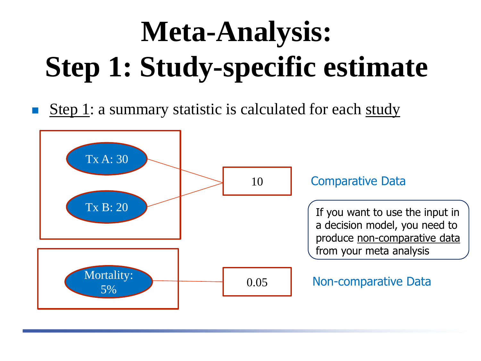# **Meta-Analysis: Step 1: Study-specific estimate**

Step 1: a summary statistic is calculated for each study

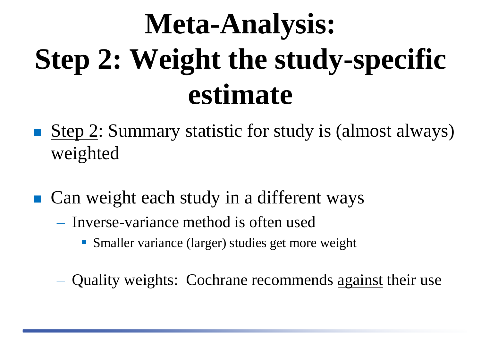# **Meta-Analysis: Step 2: Weight the study-specific estimate**

- Step  $2$ : Summary statistic for study is (almost always) weighted
- Can weight each study in a different ways
	- Inverse-variance method is often used
		- Smaller variance (larger) studies get more weight
	- Quality weights: Cochrane recommends against their use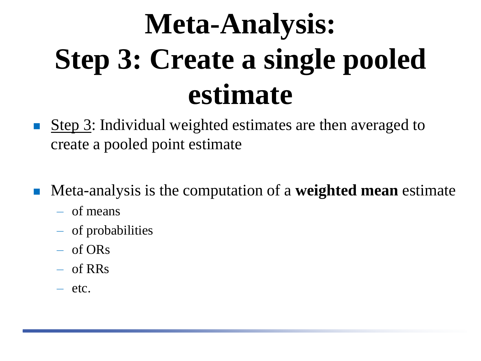# **Meta-Analysis: Step 3: Create a single pooled estimate**

- Step 3: Individual weighted estimates are then averaged to create a pooled point estimate
- Meta-analysis is the computation of a **weighted mean** estimate
	- of means
	- of probabilities
	- of ORs
	- of RRs
	- etc.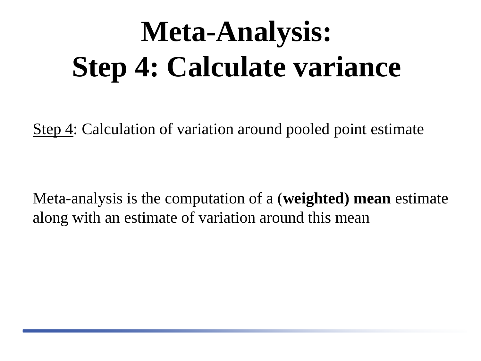# **Meta-Analysis: Step 4: Calculate variance**

Step 4: Calculation of variation around pooled point estimate

Meta-analysis is the computation of a (**weighted) mean** estimate along with an estimate of variation around this mean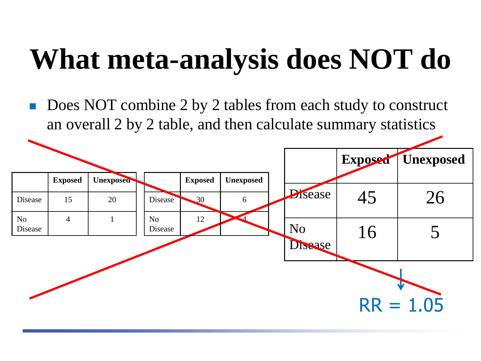## **What meta-analysis does NOT do**

 Does NOT combine 2 by 2 tables from each study to construct an overall 2 by 2 table, and then calculate summary statistics

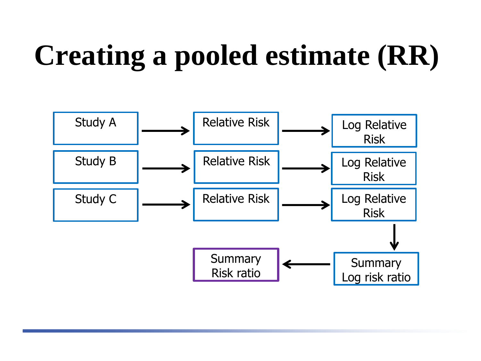# **Creating a pooled estimate (RR)**

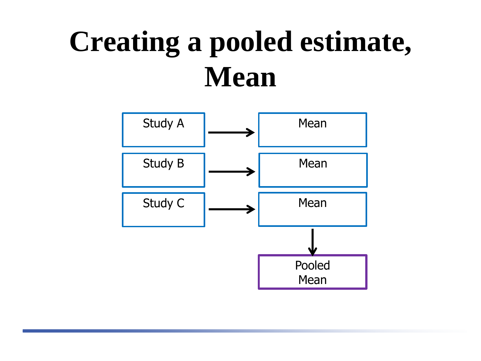## **Creating a pooled estimate, Mean**

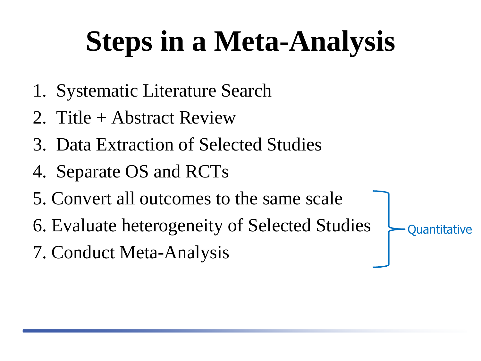# **Steps in a Meta-Analysis**

- 1. Systematic Literature Search
- 2. Title + Abstract Review
- 3. Data Extraction of Selected Studies
- 4. Separate OS and RCTs
- 5. Convert all outcomes to the same scale
- 6. Evaluate heterogeneity of Selected Studies
- 7. Conduct Meta-Analysis

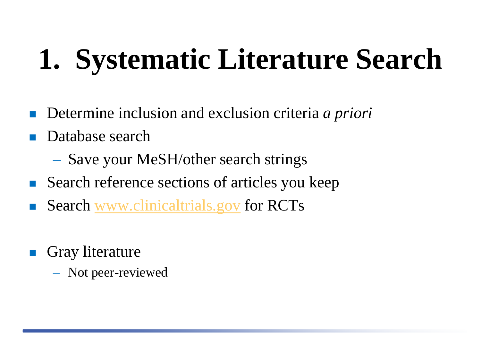# **1. Systematic Literature Search**

- Determine inclusion and exclusion criteria *a priori*
- Database search
	- Save your MeSH/other search strings
- Search reference sections of articles you keep
- Search [www.clinicaltrials.gov](http://www.clinicaltrials.gov/) for RCTs
- Gray literature
	- Not peer-reviewed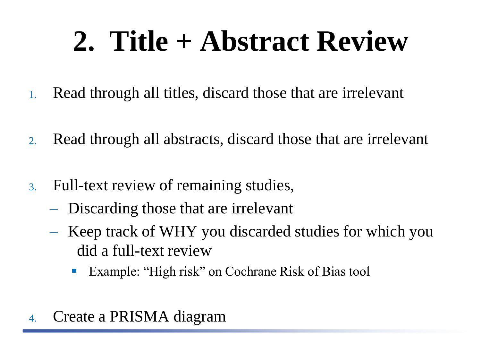## **2. Title + Abstract Review**

- 1. Read through all titles, discard those that are irrelevant
- 2. Read through all abstracts, discard those that are irrelevant
- 3. Full-text review of remaining studies,
	- Discarding those that are irrelevant
	- Keep track of WHY you discarded studies for which you did a full-text review
		- Example: "High risk" on Cochrane Risk of Bias tool
- 4. Create a PRISMA diagram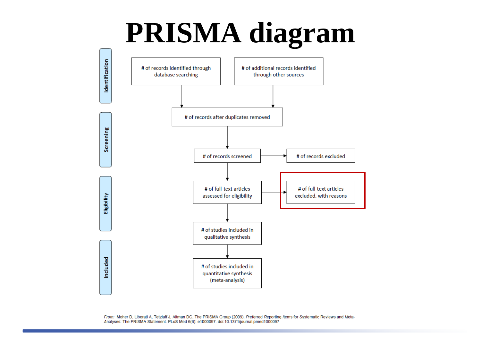#### **PRISMA diagram**



From: Moher D, Liberati A, Tetzlaff J, Altman DG, The PRISMA Group (2009). Preferred Reporting Items for Systematic Reviews and Meta-Analyses: The PRISMA Statement. PLoS Med 6(6): e1000097. doi:10.1371/journal.pmed1000097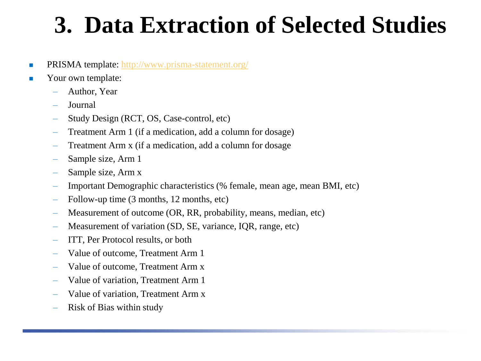#### **3. Data Extraction of Selected Studies**

- **PRISMA template:**<http://www.prisma-statement.org/>
- **Now S** Your own template:
	- Author, Year
	- Journal
	- Study Design (RCT, OS, Case-control, etc)
	- Treatment Arm 1 (if a medication, add a column for dosage)
	- Treatment Arm x (if a medication, add a column for dosage
	- Sample size, Arm 1
	- Sample size, Arm x
	- Important Demographic characteristics (% female, mean age, mean BMI, etc)
	- Follow-up time (3 months, 12 months, etc)
	- Measurement of outcome (OR, RR, probability, means, median, etc)
	- Measurement of variation (SD, SE, variance, IQR, range, etc)
	- ITT, Per Protocol results, or both
	- Value of outcome, Treatment Arm 1
	- Value of outcome, Treatment Arm x
	- Value of variation, Treatment Arm 1
	- Value of variation, Treatment Arm x
	- Risk of Bias within study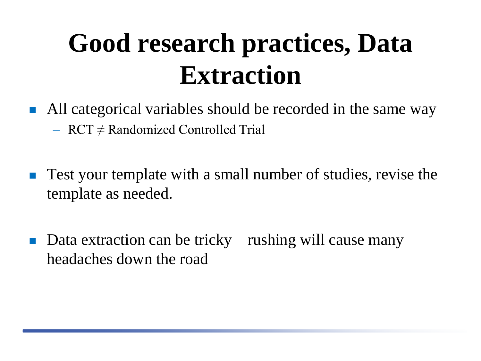#### **Good research practices, Data Extraction**

- All categorical variables should be recorded in the same way  $-$  RCT  $\neq$  Randomized Controlled Trial
- **Test your template with a small number of studies, revise the** template as needed.
- Data extraction can be tricky rushing will cause many headaches down the road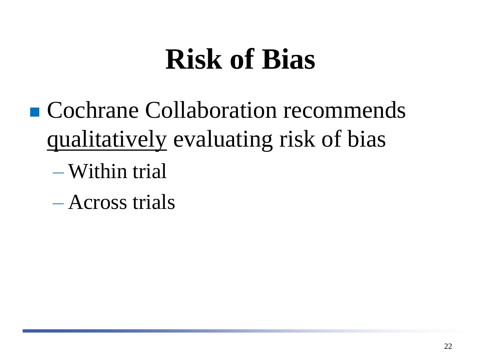#### **Risk of Bias**

- Cochrane Collaboration recommends qualitatively evaluating risk of bias
	- Within trial
	- Across trials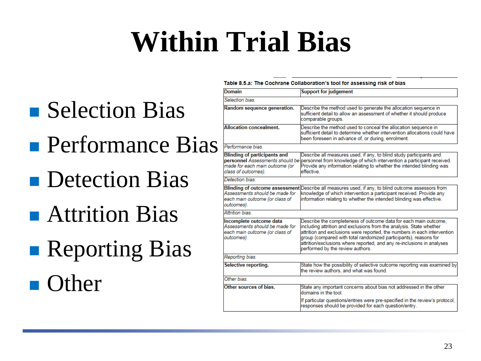## **Within Trial Bias**

- **Selection Bias**
- **Performance Bias**
- **Detection Bias**
- **Attrition Bias**
- **Reporting Bias**

**n** Other

#### Table 8.5.a: The Cochrane Collaboration's tool for assessing risk of bias

| <b>Domain</b>                                                                                             | <b>Support for judgement</b>                                                                                                                                                                                                                                                                                                                                                                          |  |  |  |
|-----------------------------------------------------------------------------------------------------------|-------------------------------------------------------------------------------------------------------------------------------------------------------------------------------------------------------------------------------------------------------------------------------------------------------------------------------------------------------------------------------------------------------|--|--|--|
| Selection bias                                                                                            |                                                                                                                                                                                                                                                                                                                                                                                                       |  |  |  |
| Random sequence generation.                                                                               | Describe the method used to generate the allocation sequence in<br>sufficient detail to allow an assessment of whether it should produce<br>comparable groups.                                                                                                                                                                                                                                        |  |  |  |
| <b>Allocation concealment.</b>                                                                            | Describe the method used to conceal the allocation sequence in<br>sufficient detail to determine whether intervention allocations could have<br>been foreseen in advance of, or during, enrolment.                                                                                                                                                                                                    |  |  |  |
| Performance bias.                                                                                         |                                                                                                                                                                                                                                                                                                                                                                                                       |  |  |  |
| <b>Blinding of participants and</b><br>made for each main outcome (or<br>class of outcomes).              | Describe all measures used, if any, to blind study participants and<br>personnel Assessments should be personnel from knowledge of which intervention a participant received.<br>Provide any information relating to whether the intended blinding was<br>effective                                                                                                                                   |  |  |  |
| Detection bias                                                                                            |                                                                                                                                                                                                                                                                                                                                                                                                       |  |  |  |
| Assessments should be made for<br>each main outcome (or class of<br>outcomes).                            | Blinding of outcome assessment Describe all measures used, if any, to blind outcome assessors from<br>knowledge of which intervention a participant received. Provide any<br>information relating to whether the intended blinding was effective.                                                                                                                                                     |  |  |  |
| Attrition bias.                                                                                           |                                                                                                                                                                                                                                                                                                                                                                                                       |  |  |  |
| Incomplete outcome data<br>Assessments should be made for<br>each main outcome (or class of<br>outcomes). | Describe the completeness of outcome data for each main outcome,<br>including attrition and exclusions from the analysis. State whether<br>attrition and exclusions were reported, the numbers in each intervention<br>group (compared with total randomized participants), reasons for<br>attrition/exclusions where reported, and any re-inclusions in analyses<br>performed by the review authors. |  |  |  |
| Reporting bias.                                                                                           |                                                                                                                                                                                                                                                                                                                                                                                                       |  |  |  |
| Selective reporting.                                                                                      | State how the possibility of selective outcome reporting was examined by<br>the review authors, and what was found.                                                                                                                                                                                                                                                                                   |  |  |  |
| Other bias.                                                                                               |                                                                                                                                                                                                                                                                                                                                                                                                       |  |  |  |
| Other sources of bias.                                                                                    | State any important concerns about bias not addressed in the other<br>domains in the tool.                                                                                                                                                                                                                                                                                                            |  |  |  |
|                                                                                                           | If particular questions/entries were pre-specified in the review's protocol,<br>responses should be provided for each question/entry.                                                                                                                                                                                                                                                                 |  |  |  |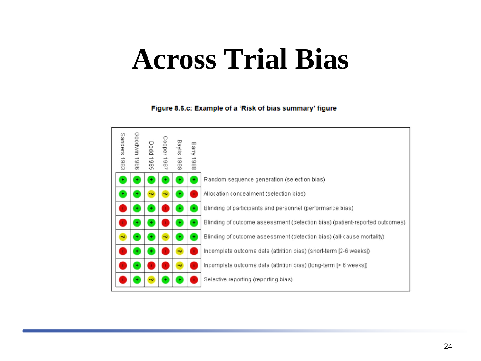#### **Across Trial Bias**

#### Figure 8.6.c: Example of a 'Risk of bias summary' figure

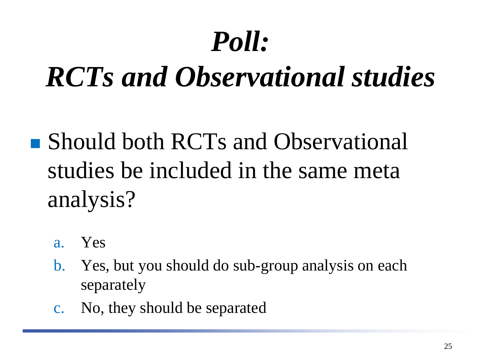## *Poll:*

#### *RCTs and Observational studies*

- Should both RCTs and Observational studies be included in the same meta analysis?
	- a. Yes
	- b. Yes, but you should do sub-group analysis on each separately
	- c. No, they should be separated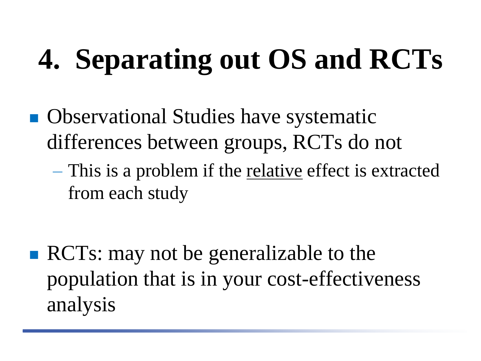# **4. Separating out OS and RCTs**

- **Observational Studies have systematic** differences between groups, RCTs do not
	- This is a problem if the relative effect is extracted from each study

**RCTs:** may not be generalizable to the population that is in your cost-effectiveness analysis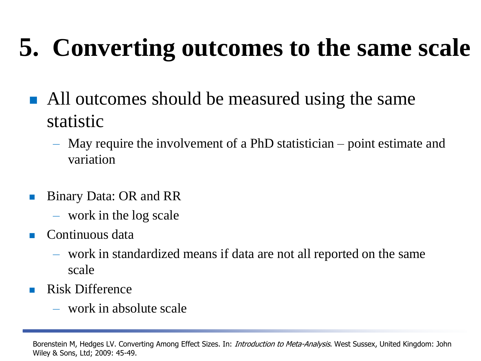#### **5. Converting outcomes to the same scale**

- All outcomes should be measured using the same statistic
	- May require the involvement of a PhD statistician point estimate and variation
- Binary Data: OR and RR
	- work in the log scale
- $\blacksquare$  Continuous data
	- work in standardized means if data are not all reported on the same scale
- Risk Difference
	- work in absolute scale

Borenstein M, Hedges LV. Converting Among Effect Sizes. In: *Introduction to Meta-Analysis*. West Sussex, United Kingdom: John Wiley & Sons, Ltd; 2009: 45-49.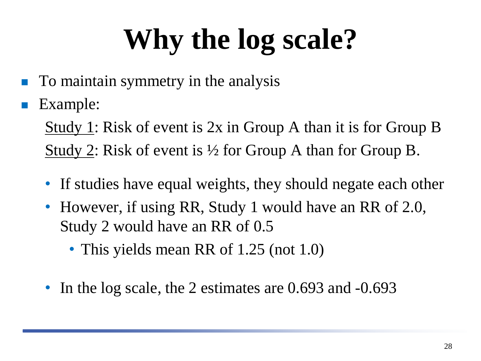# **Why the log scale?**

- To maintain symmetry in the analysis
- Example:

Study 1: Risk of event is 2x in Group A than it is for Group B <u>Study 2</u>: Risk of event is  $\frac{1}{2}$  for Group A than for Group B.

- If studies have equal weights, they should negate each other
- However, if using RR, Study 1 would have an RR of 2.0, Study 2 would have an RR of 0.5
	- This yields mean RR of 1.25 (not 1.0)
- In the log scale, the 2 estimates are 0.693 and -0.693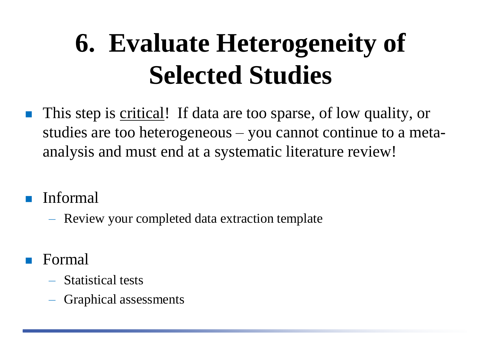#### **6. Evaluate Heterogeneity of Selected Studies**

- **This step is critical!** If data are too sparse, of low quality, or studies are too heterogeneous – you cannot continue to a metaanalysis and must end at a systematic literature review!
- **I**nformal
	- Review your completed data extraction template
- Formal
	- Statistical tests
	- Graphical assessments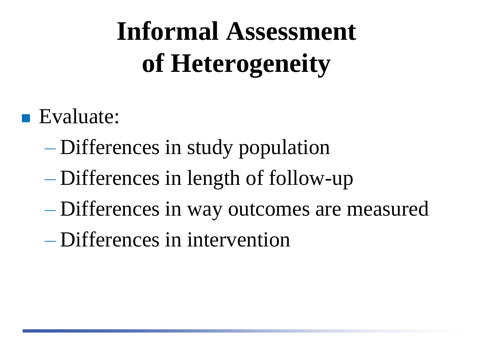#### **Informal Assessment of Heterogeneity**

#### Evaluate:

- Differences in study population
- Differences in length of follow-up
- Differences in way outcomes are measured
- Differences in intervention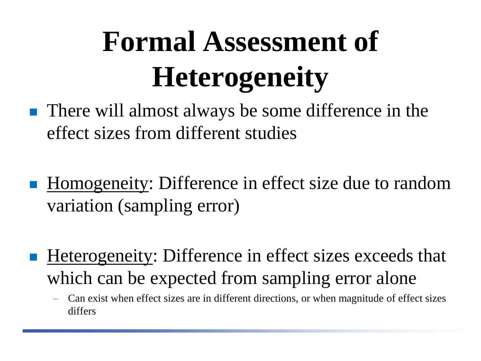# **Formal Assessment of Heterogeneity**

- There will almost always be some difference in the effect sizes from different studies
- Homogeneity: Difference in effect size due to random variation (sampling error)
- Heterogeneity: Difference in effect sizes exceeds that which can be expected from sampling error alone
	- Can exist when effect sizes are in different directions, or when magnitude of effect sizes differs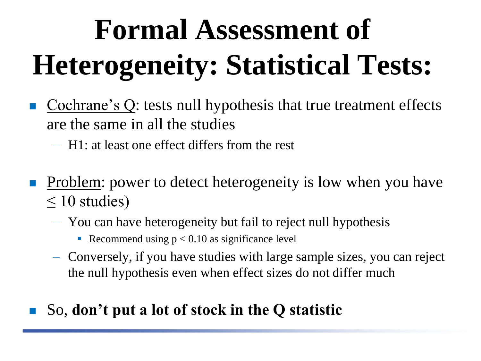# **Formal Assessment of Heterogeneity: Statistical Tests:**

- Cochrane's Q: tests null hypothesis that true treatment effects are the same in all the studies
	- H1: at least one effect differs from the rest
- Problem: power to detect heterogeneity is low when you have  $\leq 10$  studies)
	- You can have heterogeneity but fail to reject null hypothesis
		- Recommend using  $p < 0.10$  as significance level
	- Conversely, if you have studies with large sample sizes, you can reject the null hypothesis even when effect sizes do not differ much

#### So, **don't put a lot of stock in the Q statistic**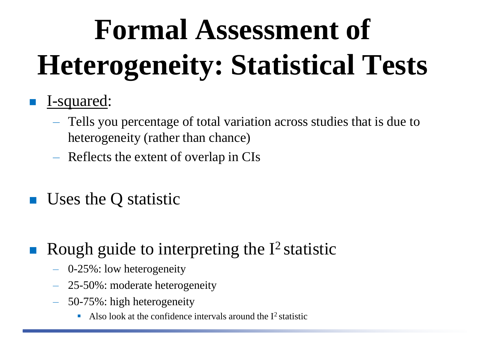# **Formal Assessment of Heterogeneity: Statistical Tests**

#### **I**-squared:

- Tells you percentage of total variation across studies that is due to heterogeneity (rather than chance)
- Reflects the extent of overlap in CIs
- Uses the Q statistic
- Rough guide to interpreting the  $I^2$  statistic
	- 0-25%: low heterogeneity
	- 25-50%: moderate heterogeneity
	- 50-75%: high heterogeneity
		- Also look at the confidence intervals around the  $I^2$  statistic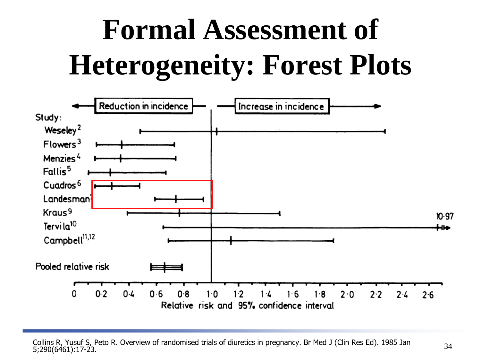# **Formal Assessment of Heterogeneity: Forest Plots**

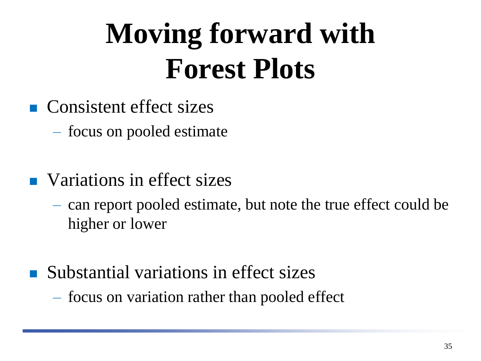# **Moving forward with Forest Plots**

- **Consistent effect sizes** 
	- focus on pooled estimate
- **Nations in effect sizes** 
	- can report pooled estimate, but note the true effect could be higher or lower
- Substantial variations in effect sizes
	- focus on variation rather than pooled effect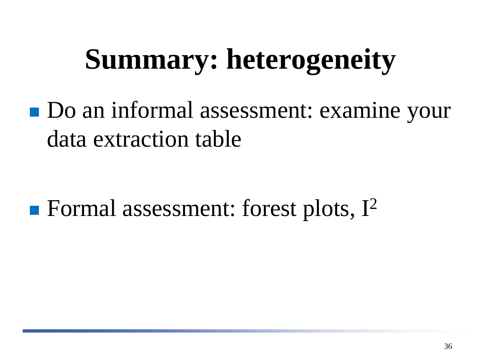## **Summary: heterogeneity**

Do an informal assessment: examine your data extraction table

**Formal assessment: forest plots,**  $I^2$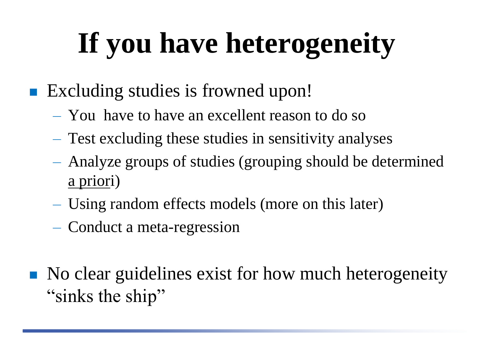# **If you have heterogeneity**

- Excluding studies is frowned upon!
	- You have to have an excellent reason to do so
	- Test excluding these studies in sensitivity analyses
	- Analyze groups of studies (grouping should be determined a priori)
	- Using random effects models (more on this later)
	- Conduct a meta-regression
- No clear guidelines exist for how much heterogeneity "sinks the ship"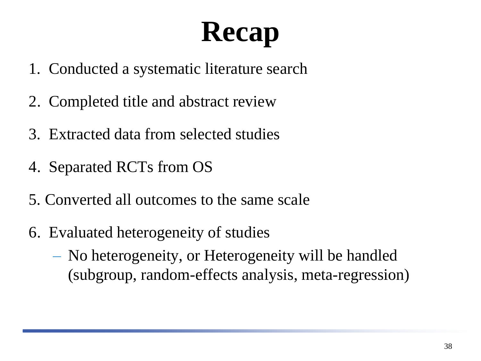# **Recap**

- 1. Conducted a systematic literature search
- 2. Completed title and abstract review
- 3. Extracted data from selected studies
- 4. Separated RCTs from OS
- 5. Converted all outcomes to the same scale
- 6. Evaluated heterogeneity of studies
	- No heterogeneity, or Heterogeneity will be handled (subgroup, random-effects analysis, meta-regression)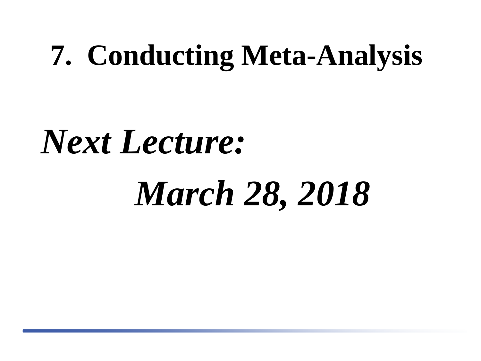#### **7. Conducting Meta-Analysis**

# *Next Lecture:*

# *March 28, 2018*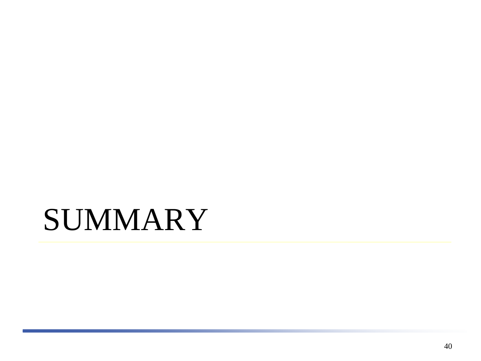#### **SUMMARY**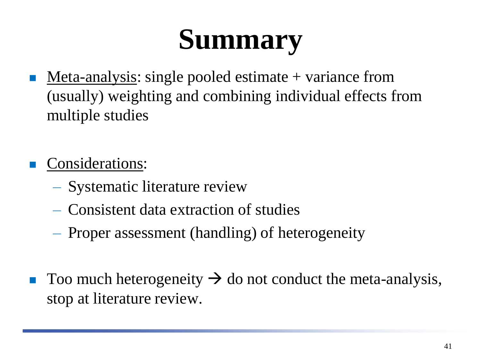## **Summary**

Meta-analysis: single pooled estimate + variance from (usually) weighting and combining individual effects from multiple studies

Considerations:

- Systematic literature review
- Consistent data extraction of studies
- Proper assessment (handling) of heterogeneity
- $\blacksquare$  Too much heterogeneity  $\rightarrow$  do not conduct the meta-analysis, stop at literature review.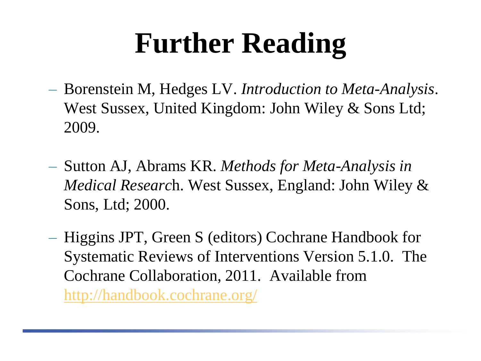## **Further Reading**

- Borenstein M, Hedges LV. *Introduction to Meta-Analysis*. West Sussex, United Kingdom: John Wiley & Sons Ltd; 2009.
- Sutton AJ, Abrams KR. *Methods for Meta-Analysis in Medical Researc*h. West Sussex, England: John Wiley & Sons, Ltd; 2000.
- Higgins JPT, Green S (editors) Cochrane Handbook for Systematic Reviews of Interventions Version 5.1.0. The Cochrane Collaboration, 2011. Available from <http://handbook.cochrane.org/>